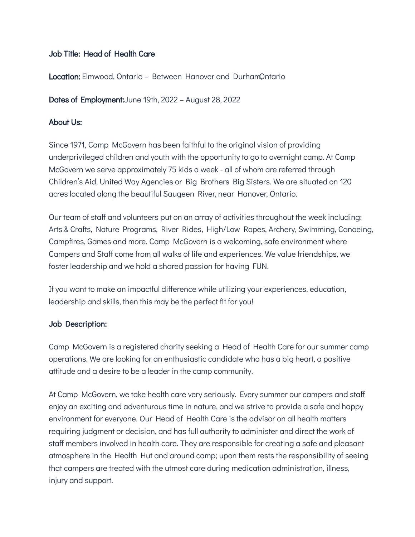### Job Title: Head of Health Care

Location: Elmwood, Ontario - Between Hanover and DurhamOntario

Dates of Employment:June 19th, 2022 – August 28, 2022

#### About Us:

Since 1971, Camp McGovern has been faithful to the original vision of providing underprivileged children and youth with the opportunity to go to overnight camp. At Camp McGovern we serve approximately 75 kids a week - all of whom are referred through Children's Aid, United Way Agencies or Big Brothers Big Sisters. We are situated on 120 acres located along the beautiful Saugeen River, near Hanover, Ontario.

Our team of staff and volunteers put on an array of activities throughout the week including: Arts & Crafts, Nature Programs, River Rides, High/Low Ropes, Archery, Swimming, Canoeing, Campfires, Games and more. Camp McGovern is a welcoming, safe environment where Campers and Staff come from all walks of life and experiences. We value friendships, we foster leadership and we hold a shared passion for having FUN.

If you want to make an impactful difference while utilizing your experiences, education, leadership and skills, then this may be the perfect fit for you!

#### Job Description:

Camp McGovern is a registered charity seeking a Head of Health Care for our summer camp operations. We are looking for an enthusiastic candidate who has a big heart, a positive attitude and a desire to be a leader in the camp community.

At Camp McGovern, we take health care very seriously. Every summer our campers and staff enjoy an exciting and adventurous time in nature, and we strive to provide a safe and happy environment for everyone. Our Head of Health Care is the advisor on all health matters requiring judgment or decision, and has full authority to administer and direct the work of staff members involved in health care. They are responsible for creating a safe and pleasant atmosphere in the Health Hut and around camp; upon them rests the responsibility of seeing that campers are treated with the utmost care during medication administration, illness, injury and support.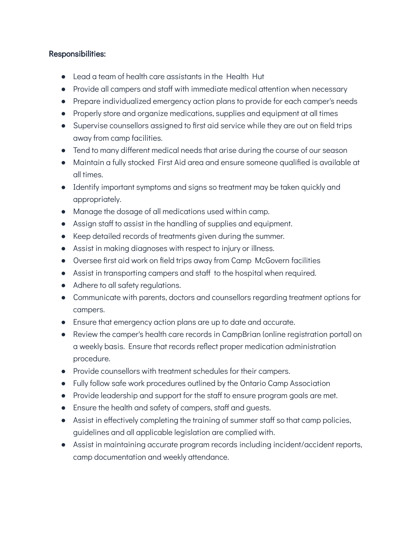### Responsibilities:

- Lead a team of health care assistants in the Health Hut
- Provide all campers and staff with immediate medical attention when necessary
- Prepare individualized emergency action plans to provide for each camper's needs
- Properly store and organize medications, supplies and equipment at all times
- Supervise counsellors assigned to first aid service while they are out on field trips away from camp facilities.
- Tend to many different medical needs that arise during the course of our season
- Maintain a fully stocked First Aid area and ensure someone qualified is available at all times.
- Identify important symptoms and signs so treatment may be taken quickly and appropriately.
- Manage the dosage of all medications used within camp.
- Assign staff to assist in the handling of supplies and equipment.
- Keep detailed records of treatments given during the summer.
- Assist in making diagnoses with respect to injury or illness.
- Oversee first aid work on field trips away from Camp McGovern facilities
- Assist in transporting campers and staff to the hospital when required.
- Adhere to all safety regulations.
- Communicate with parents, doctors and counsellors regarding treatment options for campers.
- Ensure that emergency action plans are up to date and accurate.
- Review the camper's health care records in CampBrian (online registration portal) on a weekly basis. Ensure that records reflect proper medication administration procedure.
- Provide counsellors with treatment schedules for their campers.
- Fully follow safe work procedures outlined by the Ontario Camp Association
- Provide leadership and support for the staff to ensure program goals are met.
- Ensure the health and safety of campers, staff and guests.
- Assist in effectively completing the training of summer staff so that camp policies, guidelines and all applicable legislation are complied with.
- Assist in maintaining accurate program records including incident/accident reports, camp documentation and weekly attendance.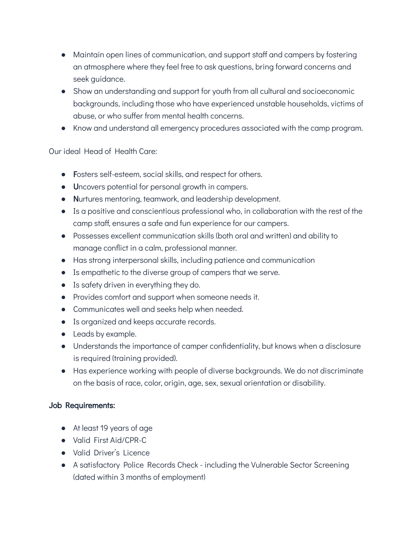- Maintain open lines of communication, and support staff and campers by fostering an atmosphere where they feel free to ask questions, bring forward concerns and seek guidance.
- Show an understanding and support for youth from all cultural and socioeconomic backgrounds, including those who have experienced unstable households, victims of abuse, or who suffer from mental health concerns.
- Know and understand all emergency procedures associated with the camp program.

# Our ideal Head of Health Care:

- Fosters self-esteem, social skills, and respect for others.
- Uncovers potential for personal growth in campers.
- Nurtures mentoring, teamwork, and leadership development.
- Is a positive and conscientious professional who, in collaboration with the rest of the camp staff, ensures a safe and fun experience for our campers.
- Possesses excellent communication skills (both oral and written) and ability to manage conflict in a calm, professional manner.
- Has strong interpersonal skills, including patience and communication
- Is empathetic to the diverse group of campers that we serve.
- Is safety driven in everything they do.
- Provides comfort and support when someone needs it.
- Communicates well and seeks help when needed.
- Is organized and keeps accurate records.
- Leads by example.
- Understands the importance of camper confidentiality, but knows when a disclosure is required (training provided).
- Has experience working with people of diverse backgrounds. We do not discriminate on the basis of race, color, origin, age, sex, sexual orientation or disability.

## Job Requirements:

- At least 19 years of age
- Valid First Aid/CPR-C
- Valid Driver's Licence
- A satisfactory Police Records Check including the Vulnerable Sector Screening (dated within 3 months of employment)